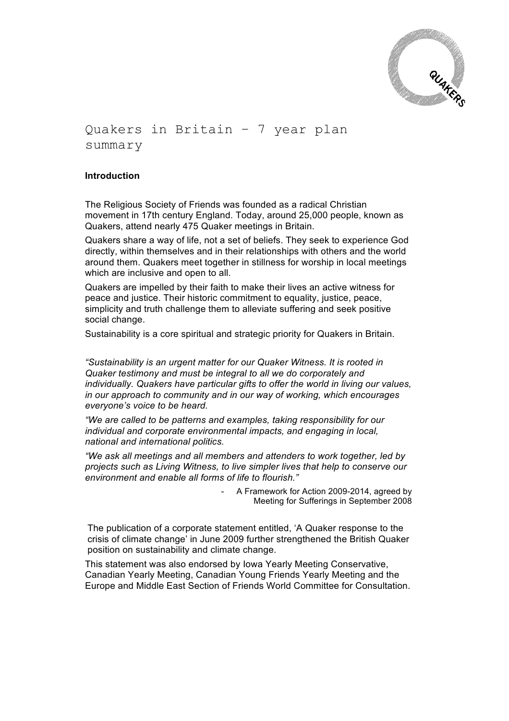

# Quakers in Britain – 7 year plan summary

### **Introduction**

The Religious Society of Friends was founded as a radical Christian movement in 17th century England. Today, around 25,000 people, known as Quakers, attend nearly 475 Quaker meetings in Britain.

Quakers share a way of life, not a set of beliefs. They seek to experience God directly, within themselves and in their relationships with others and the world around them. Quakers meet together in stillness for worship in local meetings which are inclusive and open to all.

Quakers are impelled by their faith to make their lives an active witness for peace and justice. Their historic commitment to equality, justice, peace, simplicity and truth challenge them to alleviate suffering and seek positive social change.

Sustainability is a core spiritual and strategic priority for Quakers in Britain.

*"Sustainability is an urgent matter for our Quaker Witness. It is rooted in Quaker testimony and must be integral to all we do corporately and individually. Quakers have particular gifts to offer the world in living our values, in our approach to community and in our way of working, which encourages everyone's voice to be heard.* 

*"We are called to be patterns and examples, taking responsibility for our individual and corporate environmental impacts, and engaging in local, national and international politics.* 

*"We ask all meetings and all members and attenders to work together, led by projects such as Living Witness, to live simpler lives that help to conserve our environment and enable all forms of life to flourish."*

> A Framework for Action 2009-2014, agreed by Meeting for Sufferings in September 2008

The publication of a corporate statement entitled, 'A Quaker response to the crisis of climate change' in June 2009 further strengthened the British Quaker position on sustainability and climate change.

This statement was also endorsed by Iowa Yearly Meeting Conservative, Canadian Yearly Meeting, Canadian Young Friends Yearly Meeting and the Europe and Middle East Section of Friends World Committee for Consultation.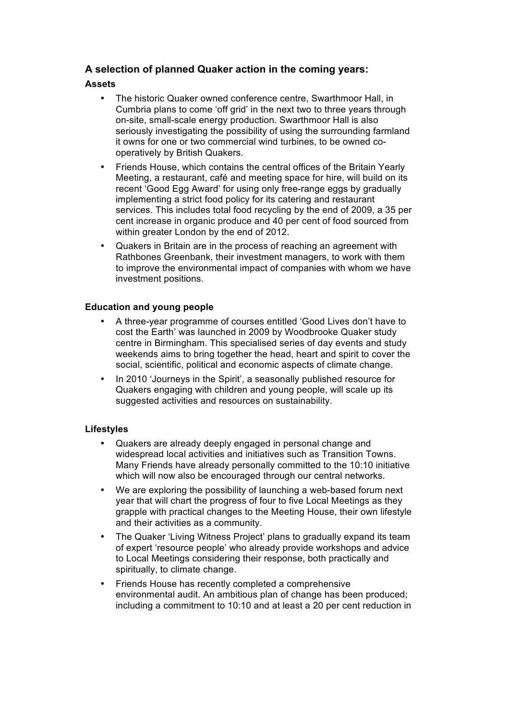# **A selection of planned Quaker action in the coming years:**

## **Assets**

- The historic Quaker owned conference centre, Swarthmoor Hall, in Cumbria plans to come 'off grid' in the next two to three years through on-site, small-scale energy production. Swarthmoor Hall is also seriously investigating the possibility of using the surrounding farmland it owns for one or two commercial wind turbines, to be owned cooperatively by British Quakers.
- Friends House, which contains the central offices of the Britain Yearly Meeting, a restaurant, café and meeting space for hire, will build on its recent 'Good Egg Award' for using only free-range eggs by gradually implementing a strict food policy for its catering and restaurant services. This includes total food recycling by the end of 2009, a 35 per cent increase in organic produce and 40 per cent of food sourced from within greater London by the end of 2012.
- Quakers in Britain are in the process of reaching an agreement with Rathbones Greenbank, their investment managers, to work with them to improve the environmental impact of companies with whom we have investment positions.

## **Education and young people**

- A three-year programme of courses entitled 'Good Lives don't have to cost the Earth' was launched in 2009 by Woodbrooke Quaker study centre in Birmingham. This specialised series of day events and study weekends aims to bring together the head, heart and spirit to cover the social, scientific, political and economic aspects of climate change.
- In 2010 'Journeys in the Spirit', a seasonally published resource for Quakers engaging with children and young people, will scale up its suggested activities and resources on sustainability.

## **Lifestyles**

- Quakers are already deeply engaged in personal change and widespread local activities and initiatives such as Transition Towns. Many Friends have already personally committed to the 10:10 initiative which will now also be encouraged through our central networks.
- We are exploring the possibility of launching a web-based forum next year that will chart the progress of four to five Local Meetings as they grapple with practical changes to the Meeting House, their own lifestyle and their activities as a community.
- The Quaker 'Living Witness Project' plans to gradually expand its team of expert 'resource people' who already provide workshops and advice to Local Meetings considering their response, both practically and spiritually, to climate change.
- Friends House has recently completed a comprehensive environmental audit. An ambitious plan of change has been produced; including a commitment to 10:10 and at least a 20 per cent reduction in